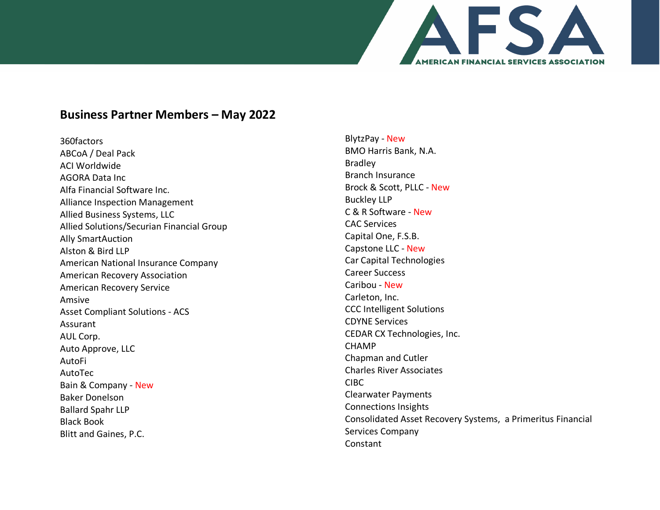

## **Business Partner Members – May 2022**

360factors ABCoA / Deal Pack ACI Worldwide AGORA Data Inc Alfa Financial Software Inc. Alliance Inspection Management Allied Business Systems, LLC Allied Solutions/Securian Financial Group Ally SmartAuction Alston & Bird LLP American National Insurance Company American Recovery Association American Recovery Service Amsive Asset Compliant Solutions - ACS Assurant AUL Corp. Auto Approve, LLC AutoFi AutoTec Bain & Company - New Baker Donelson Ballard Spahr LLP Black Book Blitt and Gaines, P.C.

BlytzPay - New BMO Harris Bank, N.A. Bradley Branch Insurance Brock & Scott, PLLC - New Buckley LLP C & R Software - New CAC Services Capital One, F.S.B. Capstone LLC - New Car Capital Technologies Career Success Caribou - New Carleton, Inc. CCC Intelligent Solutions CDYNE Services CEDAR CX Technologies, Inc. CHAMP Chapman and Cutler Charles River Associates CIBC Clearwater Payments Connections Insights Consolidated Asset Recovery Systems, a Primeritus Financial Services Company Constant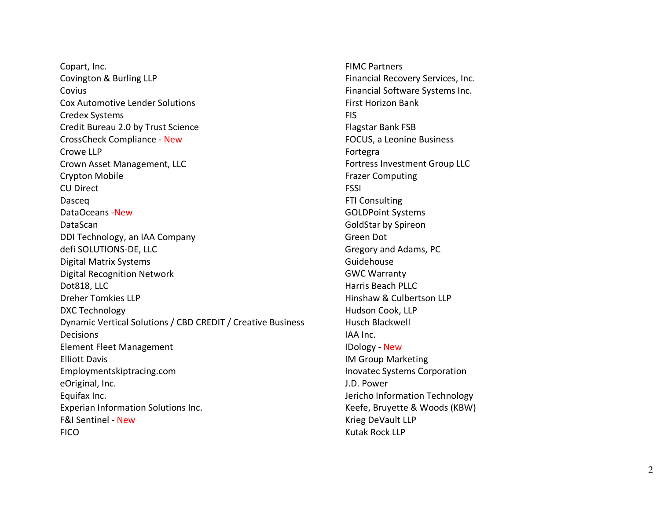Copart, Inc. Covington & Burling LLP Covius Cox Automotive Lender Solutions Credex Systems Credit Bureau 2.0 by Trust Science CrossCheck Compliance - New Crowe LLP Crown Asset Management, LLC Crypton Mobile CU Direct Dasceq DataOceans -New DataScan DDI Technology, an IAA Company defi SOLUTIONS-DE, LLC Digital Matrix Systems Digital Recognition Network Dot818, LLC Dreher Tomkies LLP DXC Technology Dynamic Vertical Solutions / CBD CREDIT / Creative Business Decisions Element Fleet Management Elliott Davis Employmentskiptracing.com eOriginal, Inc. Equifax Inc. Experian Information Solutions Inc. F&I Sentinel - New FICO

FIMC Partners Financial Recovery Services, Inc. Financial Software Systems Inc. First Horizon Bank FIS Flagstar Bank FSB FOCUS, a Leonine Business Fortegra Fortress Investment Group LLC Frazer Computing FSSI FTI Consulting GOLDPoint Systems GoldStar by Spireon Green Dot Gregory and Adams, PC Guidehouse GWC Warranty Harris Beach PLLC Hinshaw & Culbertson LLP Hudson Cook, LLP Husch Blackwell IAA Inc. IDology - New IM Group Marketing Inovatec Systems Corporation J.D. Power Jericho Information Technology Keefe, Bruyette & Woods (KBW) Krieg DeVault LLP Kutak Rock LLP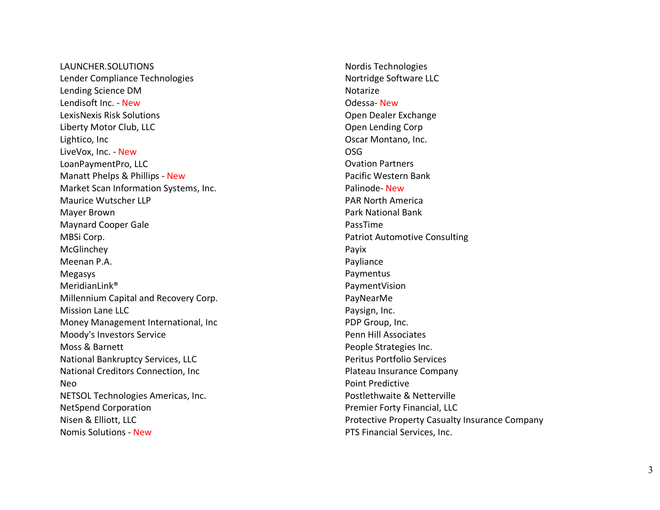LAUNCHER.SOLUTIONS Lender Compliance Technologies Lending Science DM Lendisoft Inc. - New LexisNexis Risk Solutions Liberty Motor Club, LLC Lightico, Inc LiveVox, Inc. - New LoanPaymentPro, LLC Manatt Phelps & Phillips - New Market Scan Information Systems, Inc. Maurice Wutscher LLP Mayer Brown Maynard Cooper Gale MBSi Corp. McGlinchey Meenan P.A. Megasys MeridianLink® Millennium Capital and Recovery Corp. Mission Lane LLC Money Management International, Inc Moody's Investors Service Moss & Barnett National Bankruptcy Services, LLC National Creditors Connection, Inc Neo NETSOL Technologies Americas, Inc. NetSpend Corporation Nisen & Elliott, LLC Nomis Solutions - New

Nordis Technologies Nortridge Software LLC Notarize Odessa - New Open Dealer Exchange Open Lending Corp Oscar Montano, Inc. OSG Ovation Partners Pacific Western Bank Palinode-New PAR North America Park National Bank PassTime Patriot Automotive Consulting Payix Payliance Paymentus PaymentVision PayNearMe Paysign, Inc. PDP Group, Inc. Penn Hill Associates People Strategies Inc. Peritus Portfolio Services Plateau Insurance Company Point Predictive Postlethwaite & Netterville Premier Forty Financial, LLC Protective Property Casualty Insurance Compan y PTS Financial Services, Inc.